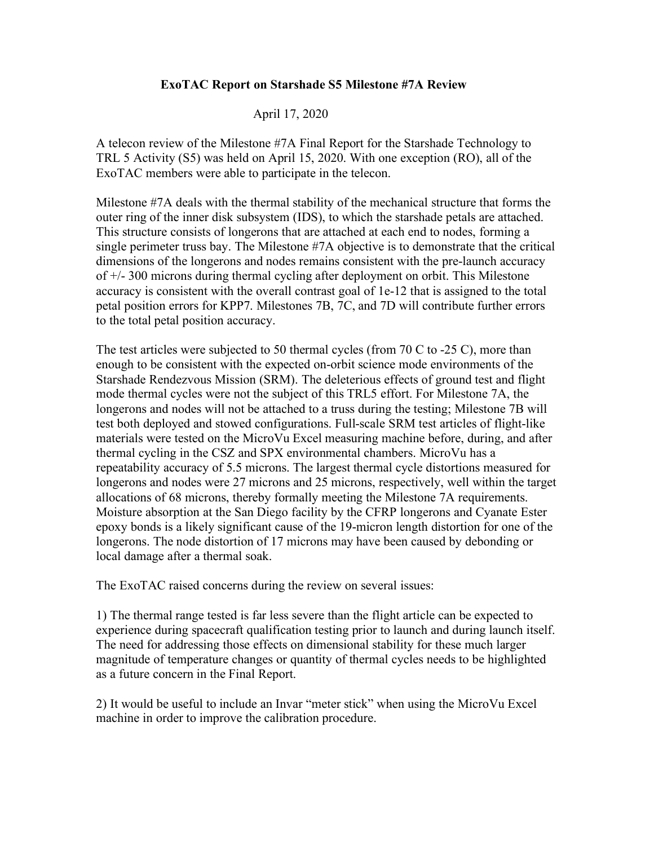## **ExoTAC Report on Starshade S5 Milestone #7A Review**

## April 17, 2020

A telecon review of the Milestone #7A Final Report for the Starshade Technology to TRL 5 Activity (S5) was held on April 15, 2020. With one exception (RO), all of the ExoTAC members were able to participate in the telecon.

Milestone #7A deals with the thermal stability of the mechanical structure that forms the outer ring of the inner disk subsystem (IDS), to which the starshade petals are attached. This structure consists of longerons that are attached at each end to nodes, forming a single perimeter truss bay. The Milestone #7A objective is to demonstrate that the critical dimensions of the longerons and nodes remains consistent with the pre-launch accuracy of +/- 300 microns during thermal cycling after deployment on orbit. This Milestone accuracy is consistent with the overall contrast goal of 1e-12 that is assigned to the total petal position errors for KPP7. Milestones 7B, 7C, and 7D will contribute further errors to the total petal position accuracy.

The test articles were subjected to 50 thermal cycles (from 70 C to -25 C), more than enough to be consistent with the expected on-orbit science mode environments of the Starshade Rendezvous Mission (SRM). The deleterious effects of ground test and flight mode thermal cycles were not the subject of this TRL5 effort. For Milestone 7A, the longerons and nodes will not be attached to a truss during the testing; Milestone 7B will test both deployed and stowed configurations. Full-scale SRM test articles of flight-like materials were tested on the MicroVu Excel measuring machine before, during, and after thermal cycling in the CSZ and SPX environmental chambers. MicroVu has a repeatability accuracy of 5.5 microns. The largest thermal cycle distortions measured for longerons and nodes were 27 microns and 25 microns, respectively, well within the target allocations of 68 microns, thereby formally meeting the Milestone 7A requirements. Moisture absorption at the San Diego facility by the CFRP longerons and Cyanate Ester epoxy bonds is a likely significant cause of the 19-micron length distortion for one of the longerons. The node distortion of 17 microns may have been caused by debonding or local damage after a thermal soak.

The ExoTAC raised concerns during the review on several issues:

1) The thermal range tested is far less severe than the flight article can be expected to experience during spacecraft qualification testing prior to launch and during launch itself. The need for addressing those effects on dimensional stability for these much larger magnitude of temperature changes or quantity of thermal cycles needs to be highlighted as a future concern in the Final Report.

2) It would be useful to include an Invar "meter stick" when using the MicroVu Excel machine in order to improve the calibration procedure.